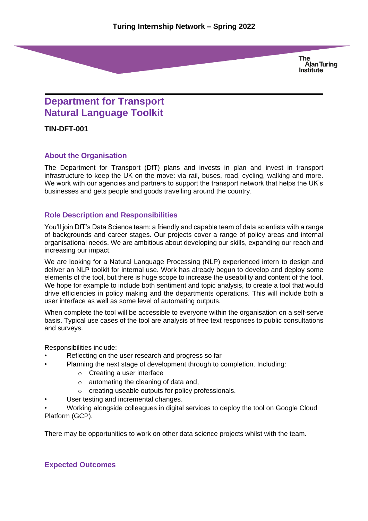**The Alan Turing Institute** 

# **Department for Transport Natural Language Toolkit**

**TIN-DFT-001**

#### **About the Organisation**

The Department for Transport (DfT) plans and invests in plan and invest in transport infrastructure to keep the UK on the move: via rail, buses, road, cycling, walking and more. We work with our agencies and partners to support the transport network that helps the UK's businesses and gets people and goods travelling around the country.

#### **Role Description and Responsibilities**

You'll join DfT's Data Science team: a friendly and capable team of data scientists with a range of backgrounds and career stages. Our projects cover a range of policy areas and internal organisational needs. We are ambitious about developing our skills, expanding our reach and increasing our impact.

We are looking for a Natural Language Processing (NLP) experienced intern to design and deliver an NLP toolkit for internal use. Work has already begun to develop and deploy some elements of the tool, but there is huge scope to increase the useability and content of the tool. We hope for example to include both sentiment and topic analysis, to create a tool that would drive efficiencies in policy making and the departments operations. This will include both a user interface as well as some level of automating outputs.

When complete the tool will be accessible to everyone within the organisation on a self-serve basis. Typical use cases of the tool are analysis of free text responses to public consultations and surveys.

Responsibilities include:

- Reflecting on the user research and progress so far
- Planning the next stage of development through to completion. Including:
	- o Creating a user interface
	- o automating the cleaning of data and,
	- o creating useable outputs for policy professionals.
- User testing and incremental changes.

• Working alongside colleagues in digital services to deploy the tool on Google Cloud Platform (GCP).

There may be opportunities to work on other data science projects whilst with the team.

## **Expected Outcomes**